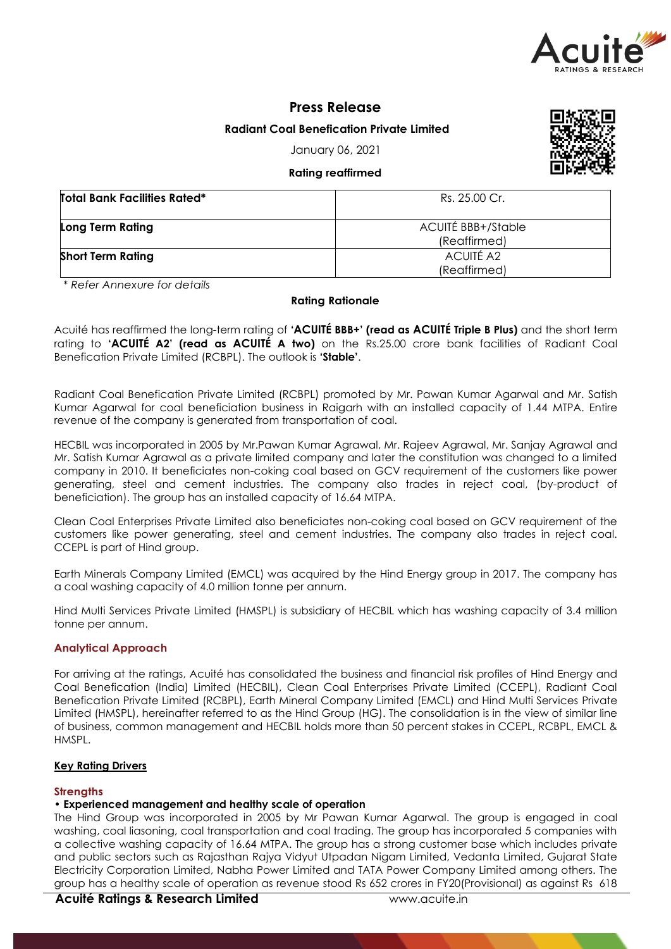

## **Press Release**

## **Radiant Coal Benefication Private Limited**

January 06, 2021

## **Rating reaffirmed**

| <b>Total Bank Facilities Rated*</b> | Rs. 25.00 Cr.             |
|-------------------------------------|---------------------------|
| Long Term Rating                    | <b>ACUITÉ BBB+/Stable</b> |
|                                     | (Reaffirmed)              |
| <b>Short Term Rating</b>            | <b>ACUITÉ A2</b>          |
|                                     | (Reaffirmed)              |

*\* Refer Annexure for details*

### **Rating Rationale**

Acuité has reaffirmed the long-term rating of **'ACUITÉ BBB+' (read as ACUITÉ Triple B Plus)** and the short term rating to **'ACUITÉ A2' (read as ACUITÉ A two)** on the Rs.25.00 crore bank facilities of Radiant Coal Benefication Private Limited (RCBPL). The outlook is **'Stable'**.

Radiant Coal Benefication Private Limited (RCBPL) promoted by Mr. Pawan Kumar Agarwal and Mr. Satish Kumar Agarwal for coal beneficiation business in Raigarh with an installed capacity of 1.44 MTPA. Entire revenue of the company is generated from transportation of coal.

HECBIL was incorporated in 2005 by Mr.Pawan Kumar Agrawal, Mr. Rajeev Agrawal, Mr. Sanjay Agrawal and Mr. Satish Kumar Agrawal as a private limited company and later the constitution was changed to a limited company in 2010. It beneficiates non-coking coal based on GCV requirement of the customers like power generating, steel and cement industries. The company also trades in reject coal, (by-product of beneficiation). The group has an installed capacity of 16.64 MTPA.

Clean Coal Enterprises Private Limited also beneficiates non-coking coal based on GCV requirement of the customers like power generating, steel and cement industries. The company also trades in reject coal. CCEPL is part of Hind group.

Earth Minerals Company Limited (EMCL) was acquired by the Hind Energy group in 2017. The company has a coal washing capacity of 4.0 million tonne per annum.

Hind Multi Services Private Limited (HMSPL) is subsidiary of HECBIL which has washing capacity of 3.4 million tonne per annum.

### **Analytical Approach**

For arriving at the ratings, Acuité has consolidated the business and financial risk profiles of Hind Energy and Coal Benefication (India) Limited (HECBIL), Clean Coal Enterprises Private Limited (CCEPL), Radiant Coal Benefication Private Limited (RCBPL), Earth Mineral Company Limited (EMCL) and Hind Multi Services Private Limited (HMSPL), hereinafter referred to as the Hind Group (HG). The consolidation is in the view of similar line of business, common management and HECBIL holds more than 50 percent stakes in CCEPL, RCBPL, EMCL & HMSPL.

### **Key Rating Drivers**

### **Strengths**

## **• Experienced management and healthy scale of operation**

The Hind Group was incorporated in 2005 by Mr Pawan Kumar Agarwal. The group is engaged in coal washing, coal liasoning, coal transportation and coal trading. The group has incorporated 5 companies with a collective washing capacity of 16.64 MTPA. The group has a strong customer base which includes private and public sectors such as Rajasthan Rajya Vidyut Utpadan Nigam Limited, Vedanta Limited, Gujarat State Electricity Corporation Limited, Nabha Power Limited and TATA Power Company Limited among others. The group has a healthy scale of operation as revenue stood Rs 652 crores in FY20(Provisional) as against Rs 618

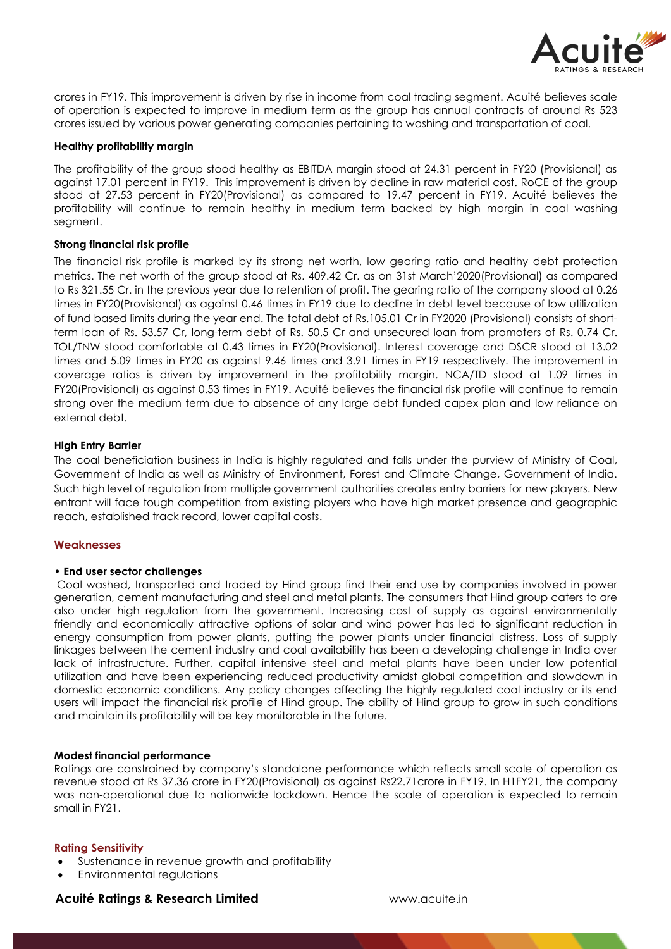

crores in FY19. This improvement is driven by rise in income from coal trading segment. Acuité believes scale of operation is expected to improve in medium term as the group has annual contracts of around Rs 523 crores issued by various power generating companies pertaining to washing and transportation of coal.

### **Healthy profitability margin**

The profitability of the group stood healthy as EBITDA margin stood at 24.31 percent in FY20 (Provisional) as against 17.01 percent in FY19. This improvement is driven by decline in raw material cost. RoCE of the group stood at 27.53 percent in FY20(Provisional) as compared to 19.47 percent in FY19. Acuité believes the profitability will continue to remain healthy in medium term backed by high margin in coal washing segment.

### **Strong financial risk profile**

The financial risk profile is marked by its strong net worth, low gearing ratio and healthy debt protection metrics. The net worth of the group stood at Rs. 409.42 Cr. as on 31st March'2020(Provisional) as compared to Rs 321.55 Cr. in the previous year due to retention of profit. The gearing ratio of the company stood at 0.26 times in FY20(Provisional) as against 0.46 times in FY19 due to decline in debt level because of low utilization of fund based limits during the year end. The total debt of Rs.105.01 Cr in FY2020 (Provisional) consists of shortterm loan of Rs. 53.57 Cr, long-term debt of Rs. 50.5 Cr and unsecured loan from promoters of Rs. 0.74 Cr. TOL/TNW stood comfortable at 0.43 times in FY20(Provisional). Interest coverage and DSCR stood at 13.02 times and 5.09 times in FY20 as against 9.46 times and 3.91 times in FY19 respectively. The improvement in coverage ratios is driven by improvement in the profitability margin. NCA/TD stood at 1.09 times in FY20(Provisional) as against 0.53 times in FY19. Acuité believes the financial risk profile will continue to remain strong over the medium term due to absence of any large debt funded capex plan and low reliance on external debt.

### **High Entry Barrier**

The coal beneficiation business in India is highly regulated and falls under the purview of Ministry of Coal, Government of India as well as Ministry of Environment, Forest and Climate Change, Government of India. Such high level of regulation from multiple government authorities creates entry barriers for new players. New entrant will face tough competition from existing players who have high market presence and geographic reach, established track record, lower capital costs.

## **Weaknesses**

### **• End user sector challenges**

Coal washed, transported and traded by Hind group find their end use by companies involved in power generation, cement manufacturing and steel and metal plants. The consumers that Hind group caters to are also under high regulation from the government. Increasing cost of supply as against environmentally friendly and economically attractive options of solar and wind power has led to significant reduction in energy consumption from power plants, putting the power plants under financial distress. Loss of supply linkages between the cement industry and coal availability has been a developing challenge in India over lack of infrastructure. Further, capital intensive steel and metal plants have been under low potential utilization and have been experiencing reduced productivity amidst global competition and slowdown in domestic economic conditions. Any policy changes affecting the highly regulated coal industry or its end users will impact the financial risk profile of Hind group. The ability of Hind group to grow in such conditions and maintain its profitability will be key monitorable in the future.

### **Modest financial performance**

Ratings are constrained by company's standalone performance which reflects small scale of operation as revenue stood at Rs 37.36 crore in FY20(Provisional) as against Rs22.71crore in FY19. In H1FY21, the company was non-operational due to nationwide lockdown. Hence the scale of operation is expected to remain small in FY21.

### **Rating Sensitivity**

- Sustenance in revenue growth and profitability
- Environmental regulations

## **Acuité Ratings & Research Limited www.acuite.in**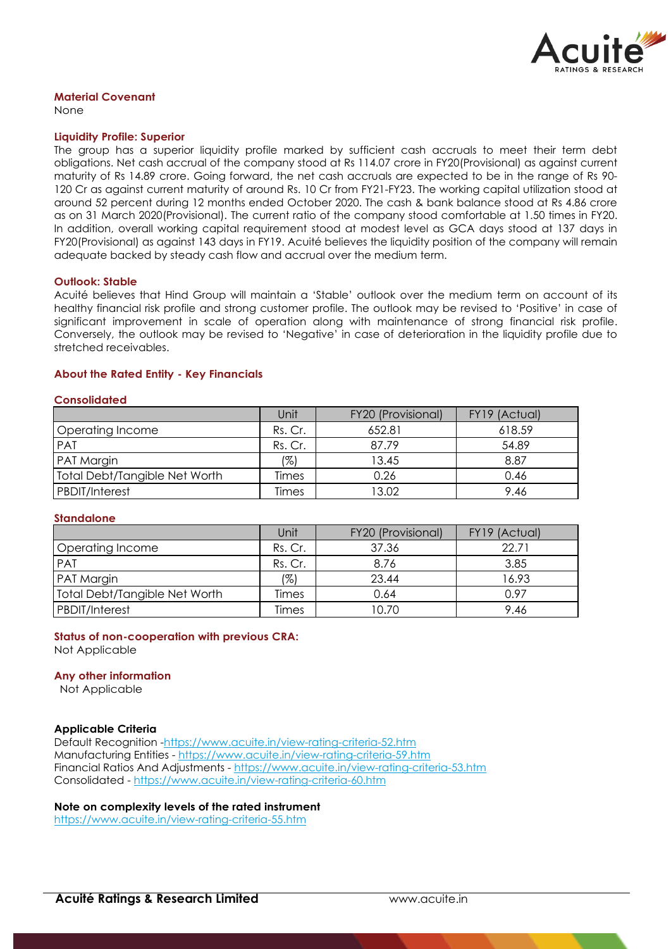

## **Material Covenant**

None

#### **Liquidity Profile: Superior**

The group has a superior liquidity profile marked by sufficient cash accruals to meet their term debt obligations. Net cash accrual of the company stood at Rs 114.07 crore in FY20(Provisional) as against current maturity of Rs 14.89 crore. Going forward, the net cash accruals are expected to be in the range of Rs 90- 120 Cr as against current maturity of around Rs. 10 Cr from FY21-FY23. The working capital utilization stood at around 52 percent during 12 months ended October 2020. The cash & bank balance stood at Rs 4.86 crore as on 31 March 2020(Provisional). The current ratio of the company stood comfortable at 1.50 times in FY20. In addition, overall working capital requirement stood at modest level as GCA days stood at 137 days in FY20(Provisional) as against 143 days in FY19. Acuité believes the liquidity position of the company will remain adequate backed by steady cash flow and accrual over the medium term.

### **Outlook: Stable**

Acuité believes that Hind Group will maintain a 'Stable' outlook over the medium term on account of its healthy financial risk profile and strong customer profile. The outlook may be revised to 'Positive' in case of significant improvement in scale of operation along with maintenance of strong financial risk profile. Conversely, the outlook may be revised to 'Negative' in case of deterioration in the liquidity profile due to stretched receivables.

### **About the Rated Entity - Key Financials**

### **Consolidated**

|                                      | Unit    | FY20 (Provisional) | FY19 (Actual) |
|--------------------------------------|---------|--------------------|---------------|
| Operating Income                     | Rs. Cr. | 652.81             | 618.59        |
| <b>PAT</b>                           | Rs. Cr. | 87.79              | 54.89         |
| PAT Margin                           | 1%)     | 13.45              | 8.87          |
| <b>Total Debt/Tangible Net Worth</b> | Times   | 0.26               | 0.46          |
| <b>PBDIT/Interest</b>                | Times   | 13.02              | 9.46          |

### **Standalone**

|                                      | Unit    | FY20 (Provisional) | FY19 (Actual) |
|--------------------------------------|---------|--------------------|---------------|
| Operating Income                     | Rs. Cr. | 37.36              | 22.71         |
| PAT                                  | Rs. Cr. | 8.76               | 3.85          |
| PAT Margin                           | 1%)     | 23.44              | 16.93         |
| <b>Total Debt/Tangible Net Worth</b> | Times   | 0.64               | 0.97          |
| PBDIT/Interest                       | Times   | 10.70              | 9.46          |

## **Status of non-cooperation with previous CRA:**

Not Applicable

### **Any other information**

Not Applicable

### **Applicable Criteria**

Default Recognition -https://www.acuite.in/view-rating-criteria-52.htm Manufacturing Entities - https://www.acuite.in/view-rating-criteria-59.htm Financial Ratios And Adjustments - https://www.acuite.in/view-rating-criteria-53.htm Consolidated - https://www.acuite.in/view-rating-criteria-60.htm

## **Note on complexity levels of the rated instrument**

https://www.acuite.in/view-rating-criteria-55.htm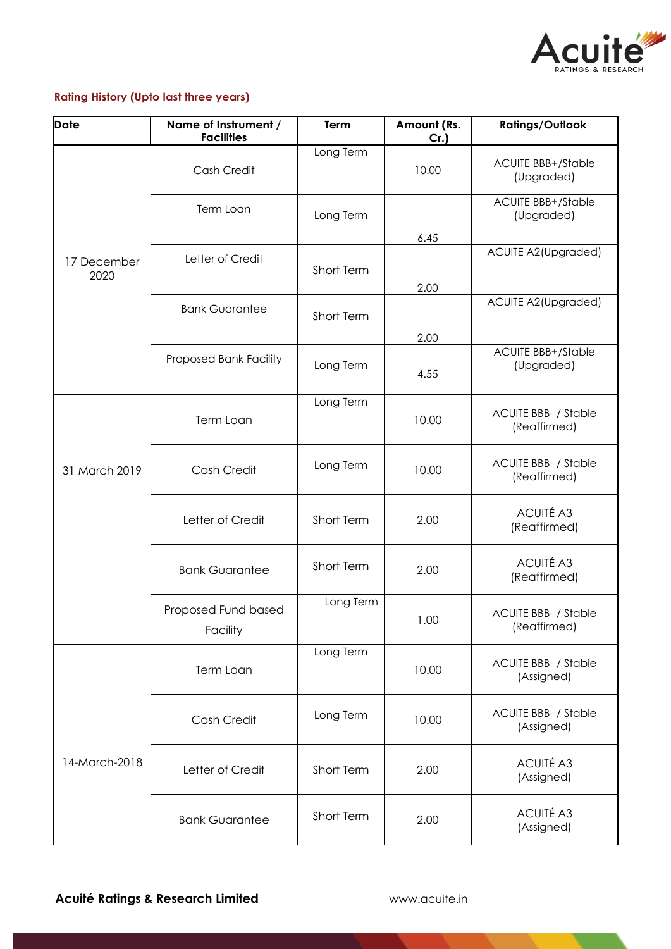

# **Rating History (Upto last three years)**

| <b>Date</b>                                              | Name of Instrument /<br><b>Facilities</b> | Term       | Amount (Rs.<br>$Cr.$ ) | <b>Ratings/Outlook</b>                      |
|----------------------------------------------------------|-------------------------------------------|------------|------------------------|---------------------------------------------|
|                                                          | Cash Credit                               | Long Term  | 10.00                  | <b>ACUITE BBB+/Stable</b><br>(Upgraded)     |
|                                                          | Term Loan                                 | Long Term  |                        | <b>ACUITE BBB+/Stable</b><br>(Upgraded)     |
| 17 December<br>2020                                      | Letter of Credit<br>Short Term            |            | 6.45<br>2.00           | ACUITE A2(Upgraded)                         |
|                                                          | <b>Bank Guarantee</b><br>Short Term       |            | 2.00                   | ACUITE A2(Upgraded)                         |
|                                                          | Proposed Bank Facility                    | Long Term  | 4.55                   | <b>ACUITE BBB+/Stable</b><br>(Upgraded)     |
|                                                          | Term Loan                                 | Long Term  | 10.00                  | <b>ACUITE BBB- / Stable</b><br>(Reaffirmed) |
| 31 March 2019                                            | Cash Credit                               | Long Term  | 10.00                  | <b>ACUITE BBB- / Stable</b><br>(Reaffirmed) |
|                                                          | Letter of Credit                          | Short Term | 2.00                   | <b>ACUITÉ A3</b><br>(Reaffirmed)            |
| <b>Bank Guarantee</b><br>Proposed Fund based<br>Facility |                                           | Short Term | 2.00                   | <b>ACUITÉ A3</b><br>(Reaffirmed)            |
|                                                          |                                           | Long Term  | 1.00                   | <b>ACUITE BBB- / Stable</b><br>(Reaffirmed) |
|                                                          | Term Loan                                 | Long Term  | 10.00                  | <b>ACUITE BBB- / Stable</b><br>(Assigned)   |
|                                                          | Cash Credit                               | Long Term  | 10.00                  | <b>ACUITE BBB- / Stable</b><br>(Assigned)   |
| 14-March-2018                                            | Letter of Credit                          | Short Term | 2.00                   | <b>ACUITÉ A3</b><br>(Assigned)              |
|                                                          | <b>Bank Guarantee</b>                     | Short Term | 2.00                   | <b>ACUITÉ A3</b><br>(Assigned)              |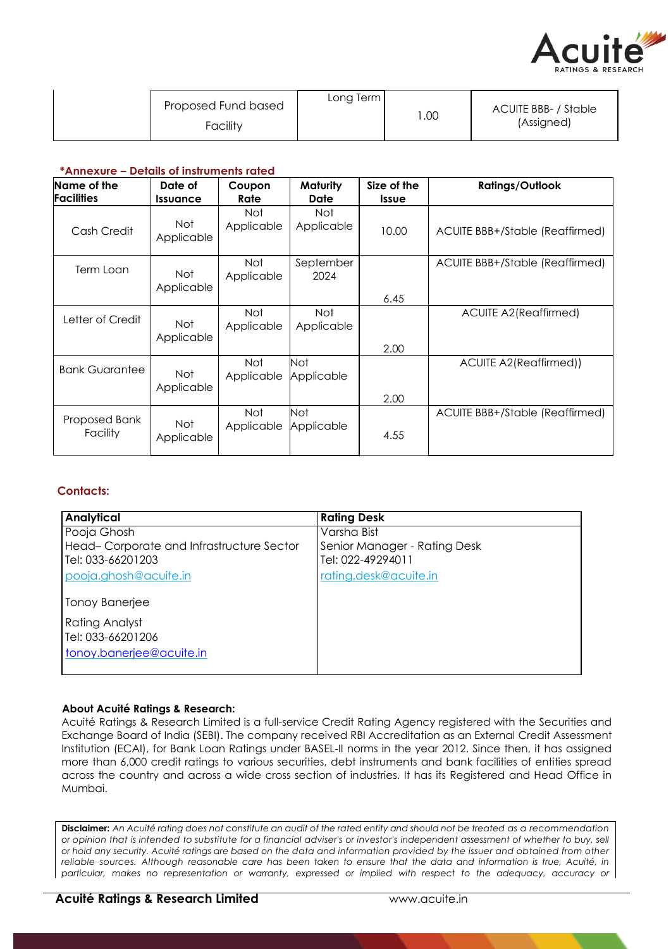

| Long Term<br>Proposed Fund based<br>Facility | .00 | ACUITE BBB- / Stable<br>(Assigned) |
|----------------------------------------------|-----|------------------------------------|
|----------------------------------------------|-----|------------------------------------|

## **\*Annexure – Details of instruments rated**

| Name of the<br><b>Facilities</b> | Date of<br><i><u><b>Issuance</b></u></i> | Coupon<br>Rate           | Maturity<br>Date  | Size of the<br><b>Issue</b> | <b>Ratings/Outlook</b>          |
|----------------------------------|------------------------------------------|--------------------------|-------------------|-----------------------------|---------------------------------|
| Cash Credit                      | Not<br>Applicable                        | Not<br>Applicable        | Not<br>Applicable | 10.00                       | ACUITE BBB+/Stable (Reaffirmed) |
| Term Loan                        | <b>Not</b><br>Applicable                 | Not<br>Applicable        | September<br>2024 | 6.45                        | ACUITE BBB+/Stable (Reaffirmed) |
| Letter of Credit                 | Not<br>Applicable                        | Not<br>Applicable        | Not<br>Applicable | 2.00                        | <b>ACUITE A2(Reaffirmed)</b>    |
| <b>Bank Guarantee</b>            | Not<br>Applicable                        | <b>Not</b><br>Applicable | Not<br>Applicable | 2.00                        | ACUITE A2(Reaffirmed))          |
| Proposed Bank<br>Facility        | Not<br>Applicable                        | <b>Not</b><br>Applicable | Not<br>Applicable | 4.55                        | ACUITE BBB+/Stable (Reaffirmed) |

## **Contacts:**

| <b>Analytical</b>                        | <b>Rating Desk</b>           |
|------------------------------------------|------------------------------|
| Pooja Ghosh                              | Varsha Bist                  |
| Head-Corporate and Infrastructure Sector | Senior Manager - Rating Desk |
| Tel: 033-66201203                        | Tel: 022-49294011            |
| pooja.ghosh@acuite.in                    | rating.desk@acuite.in        |
|                                          |                              |
| Tonoy Banerjee                           |                              |
| Rating Analyst                           |                              |
| Tel: 033-66201206                        |                              |
| tonoy.banerjee@acuite.in                 |                              |
|                                          |                              |
|                                          |                              |

### **About Acuité Ratings & Research:**

Acuité Ratings & Research Limited is a full-service Credit Rating Agency registered with the Securities and Exchange Board of India (SEBI). The company received RBI Accreditation as an External Credit Assessment Institution (ECAI), for Bank Loan Ratings under BASEL-II norms in the year 2012. Since then, it has assigned more than 6,000 credit ratings to various securities, debt instruments and bank facilities of entities spread across the country and across a wide cross section of industries. It has its Registered and Head Office in Mumbai.

Disclaimer: An Acuité rating does not constitute an audit of the rated entity and should not be treated as a recommendation *or opinion that is intended to substitute for a financial adviser's or investor's independent assessment of whether to buy, sell or hold any security. Acuité ratings are based on the data and information provided by the issuer and obtained from other reliable sources. Although reasonable care has been taken to ensure that the data and information is true, Acuité, in particular, makes no representation or warranty, expressed or implied with respect to the adequacy, accuracy or*